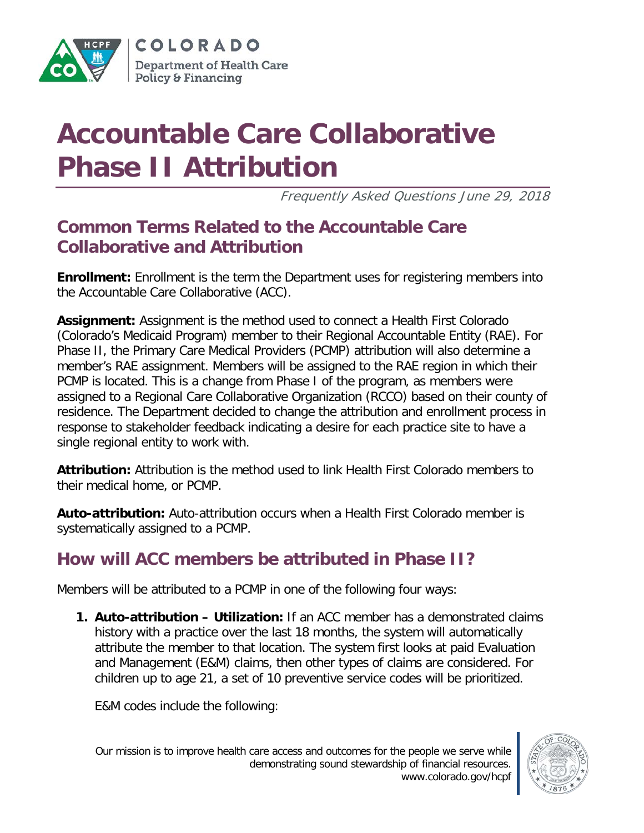

COLORADO Department of Health Care Policy & Financing

# **Accountable Care Collaborative Phase II Attribution**

Frequently Asked Questions June 29, 2018

## **Common Terms Related to the Accountable Care Collaborative and Attribution**

**Enrollment:** Enrollment is the term the Department uses for registering members into the Accountable Care Collaborative (ACC).

**Assignment:** Assignment is the method used to connect a Health First Colorado (Colorado's Medicaid Program) member to their Regional Accountable Entity (RAE). For Phase II, the Primary Care Medical Providers (PCMP) attribution will also determine a member's RAE assignment. Members will be assigned to the RAE region in which their PCMP is located. This is a change from Phase I of the program, as members were assigned to a Regional Care Collaborative Organization (RCCO) based on their county of residence. The Department decided to change the attribution and enrollment process in response to stakeholder feedback indicating a desire for each practice site to have a single regional entity to work with.

**Attribution:** Attribution is the method used to link Health First Colorado members to their medical home, or PCMP.

**Auto-attribution:** Auto-attribution occurs when a Health First Colorado member is systematically assigned to a PCMP.

## **How will ACC members be attributed in Phase II?**

Members will be attributed to a PCMP in one of the following four ways:

**1. Auto-attribution – Utilization:** If an ACC member has a demonstrated claims history with a practice over the last 18 months, the system will automatically attribute the member to that location. The system first looks at paid Evaluation and Management (E&M) claims, then other types of claims are considered. For children up to age 21, a set of 10 preventive service codes will be prioritized.

E&M codes include the following:

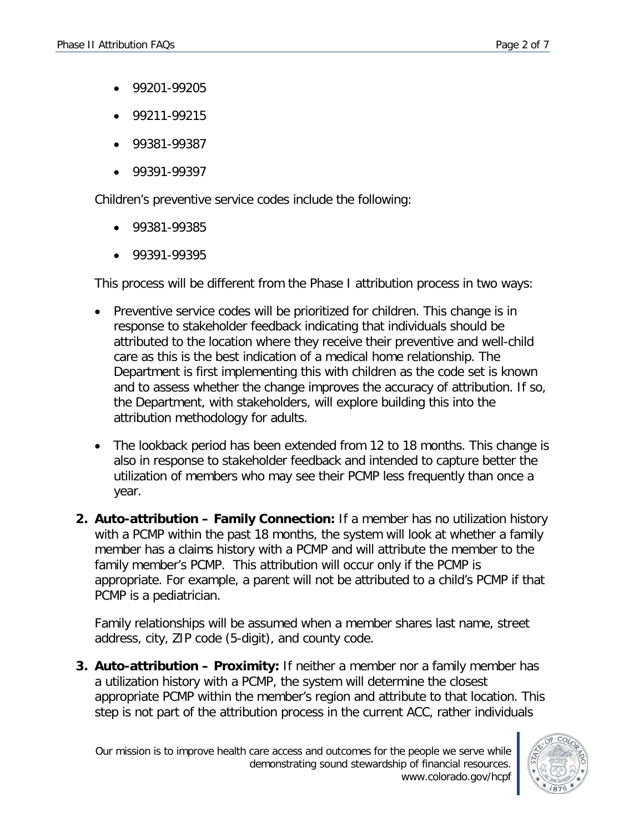- 99201-99205
- 99211-99215
- 99381-99387
- 99391-99397

Children's preventive service codes include the following:

- 99381-99385
- 99391-99395

This process will be different from the Phase I attribution process in two ways:

- Preventive service codes will be prioritized for children. This change is in response to stakeholder feedback indicating that individuals should be attributed to the location where they receive their preventive and well-child care as this is the best indication of a medical home relationship. The Department is first implementing this with children as the code set is known and to assess whether the change improves the accuracy of attribution. If so, the Department, with stakeholders, will explore building this into the attribution methodology for adults.
- The lookback period has been extended from 12 to 18 months. This change is also in response to stakeholder feedback and intended to capture better the utilization of members who may see their PCMP less frequently than once a year.
- **2. Auto-attribution – Family Connection:** If a member has no utilization history with a PCMP within the past 18 months, the system will look at whether a family member has a claims history with a PCMP and will attribute the member to the family member's PCMP. This attribution will occur only if the PCMP is appropriate. For example, a parent will not be attributed to a child's PCMP if that PCMP is a pediatrician.

Family relationships will be assumed when a member shares last name, street address, city, ZIP code (5-digit), and county code.

**3. Auto-attribution – Proximity:** If neither a member nor a family member has a utilization history with a PCMP, the system will determine the closest appropriate PCMP within the member's region and attribute to that location. This step is not part of the attribution process in the current ACC, rather individuals

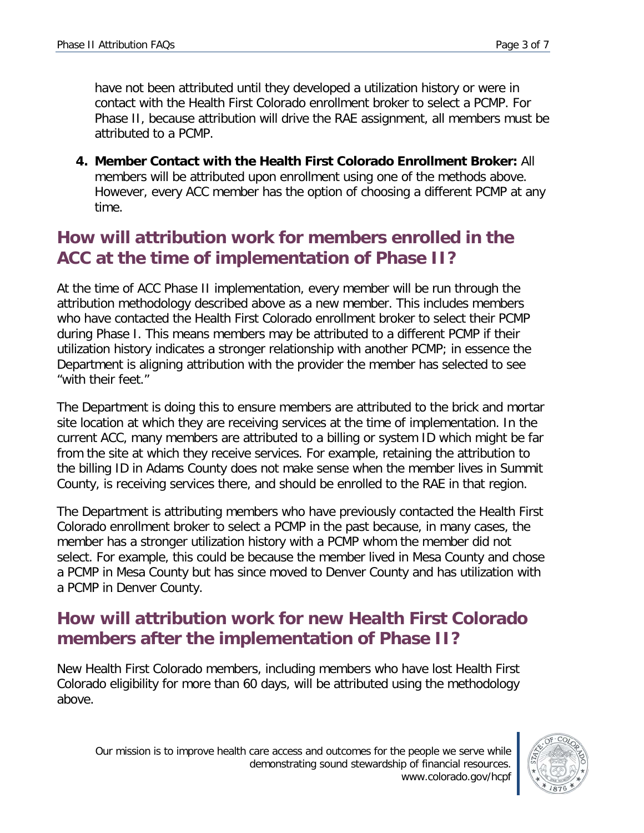have not been attributed until they developed a utilization history or were in contact with the Health First Colorado enrollment broker to select a PCMP. For Phase II, because attribution will drive the RAE assignment, all members must be attributed to a PCMP.

**4. Member Contact with the Health First Colorado Enrollment Broker:** All members will be attributed upon enrollment using one of the methods above. However, every ACC member has the option of choosing a different PCMP at any time.

#### **How will attribution work for members enrolled in the ACC at the time of implementation of Phase II?**

At the time of ACC Phase II implementation, every member will be run through the attribution methodology described above as a new member. This includes members who have contacted the Health First Colorado enrollment broker to select their PCMP during Phase I. This means members may be attributed to a different PCMP if their utilization history indicates a stronger relationship with another PCMP; in essence the Department is aligning attribution with the provider the member has selected to see "with their feet."

The Department is doing this to ensure members are attributed to the brick and mortar site location at which they are receiving services at the time of implementation. In the current ACC, many members are attributed to a billing or system ID which might be far from the site at which they receive services. For example, retaining the attribution to the billing ID in Adams County does not make sense when the member lives in Summit County, is receiving services there, and should be enrolled to the RAE in that region.

The Department is attributing members who have previously contacted the Health First Colorado enrollment broker to select a PCMP in the past because, in many cases, the member has a stronger utilization history with a PCMP whom the member did not select. For example, this could be because the member lived in Mesa County and chose a PCMP in Mesa County but has since moved to Denver County and has utilization with a PCMP in Denver County.

## **How will attribution work for new Health First Colorado members after the implementation of Phase II?**

New Health First Colorado members, including members who have lost Health First Colorado eligibility for more than 60 days, will be attributed using the methodology above.

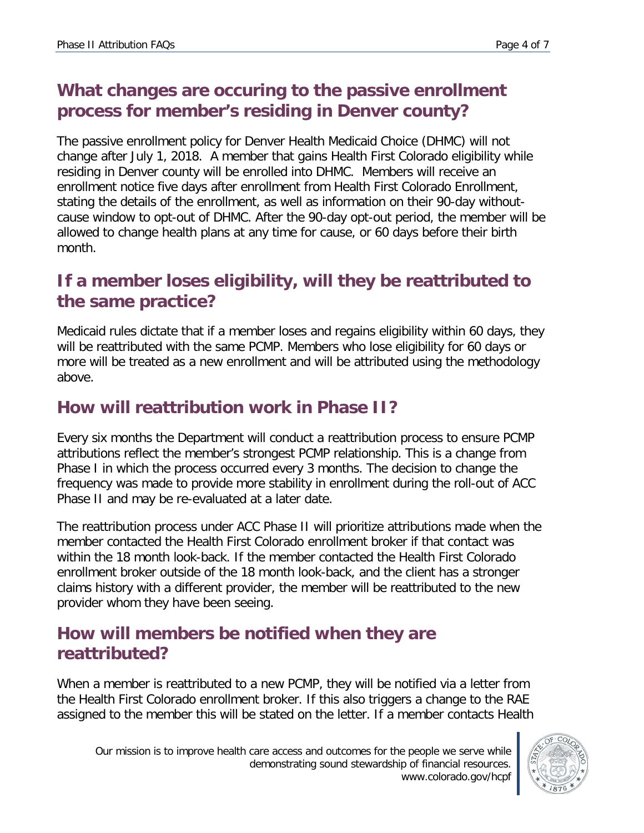## **What changes are occuring to the passive enrollment process for member's residing in Denver county?**

The passive enrollment policy for Denver Health Medicaid Choice (DHMC) will not change after July 1, 2018. A member that gains Health First Colorado eligibility while residing in Denver county will be enrolled into DHMC. Members will receive an enrollment notice five days after enrollment from Health First Colorado Enrollment, stating the details of the enrollment, as well as information on their 90-day withoutcause window to opt-out of DHMC. After the 90-day opt-out period, the member will be allowed to change health plans at any time for cause, or 60 days before their birth month.

#### **If a member loses eligibility, will they be reattributed to the same practice?**

Medicaid rules dictate that if a member loses and regains eligibility within 60 days, they will be reattributed with the same PCMP. Members who lose eligibility for 60 days or more will be treated as a new enrollment and will be attributed using the methodology above.

#### **How will reattribution work in Phase II?**

Every six months the Department will conduct a reattribution process to ensure PCMP attributions reflect the member's strongest PCMP relationship. This is a change from Phase I in which the process occurred every 3 months. The decision to change the frequency was made to provide more stability in enrollment during the roll-out of ACC Phase II and may be re-evaluated at a later date.

The reattribution process under ACC Phase II will prioritize attributions made when the member contacted the Health First Colorado enrollment broker if that contact was within the 18 month look-back. If the member contacted the Health First Colorado enrollment broker outside of the 18 month look-back, and the client has a stronger claims history with a different provider, the member will be reattributed to the new provider whom they have been seeing.

#### **How will members be notified when they are reattributed?**

When a member is reattributed to a new PCMP, they will be notified via a letter from the Health First Colorado enrollment broker. If this also triggers a change to the RAE assigned to the member this will be stated on the letter. If a member contacts Health

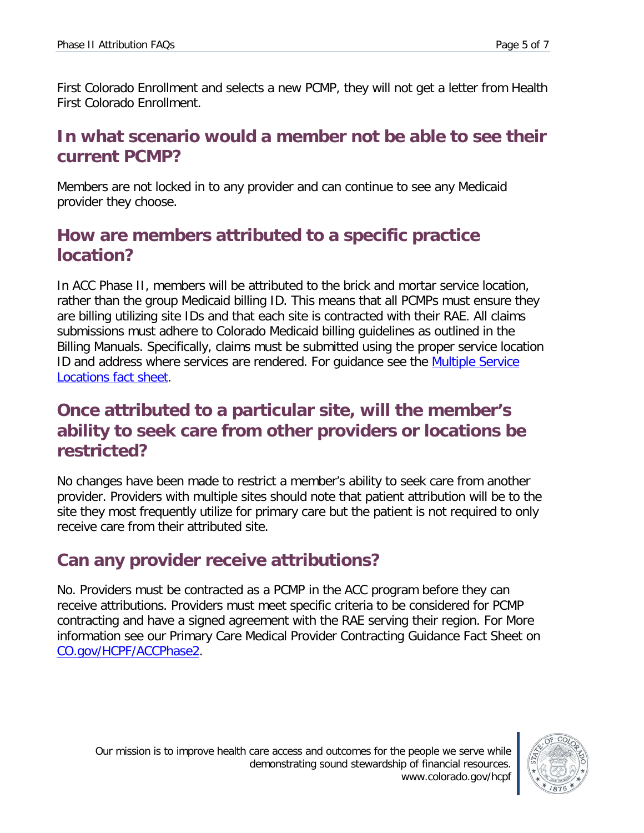First Colorado Enrollment and selects a new PCMP, they will not get a letter from Health First Colorado Enrollment.

#### **In what scenario would a member not be able to see their current PCMP?**

Members are not locked in to any provider and can continue to see any Medicaid provider they choose.

#### **How are members attributed to a specific practice location?**

In ACC Phase II, members will be attributed to the brick and mortar service location, rather than the group Medicaid billing ID. This means that all PCMPs must ensure they are billing utilizing site IDs and that each site is contracted with their RAE. All claims submissions must adhere to Colorado Medicaid billing guidelines as outlined in the Billing Manuals. Specifically, claims must be submitted using the proper service location ID and address where services are rendered. For quidance see the Multiple Service [Locations fact sheet.](https://www.colorado.gov/pacific/sites/default/files/Enrolling%20and%20billing%20by%20location.pdf)

#### **Once attributed to a particular site, will the member's ability to seek care from other providers or locations be restricted?**

No changes have been made to restrict a member's ability to seek care from another provider. Providers with multiple sites should note that patient attribution will be to the site they most frequently utilize for primary care but the patient is not required to only receive care from their attributed site.

# **Can any provider receive attributions?**

No. Providers must be contracted as a PCMP in the ACC program before they can receive attributions. Providers must meet specific criteria to be considered for PCMP contracting and have a signed agreement with the RAE serving their region. For More information see our [Primary Care Medical Provider Contracting Guidance Fact Sheet](https://www.colorado.gov/pacific/sites/default/files/Primary%20Care%20Medical%20Provider%20Contracting%20Guidance%20Fact%20Sheet%20March%202018.pdf) on [CO.gov/HCPF/ACCPhase2.](http://www.co.gov/hcpf/accphase2)

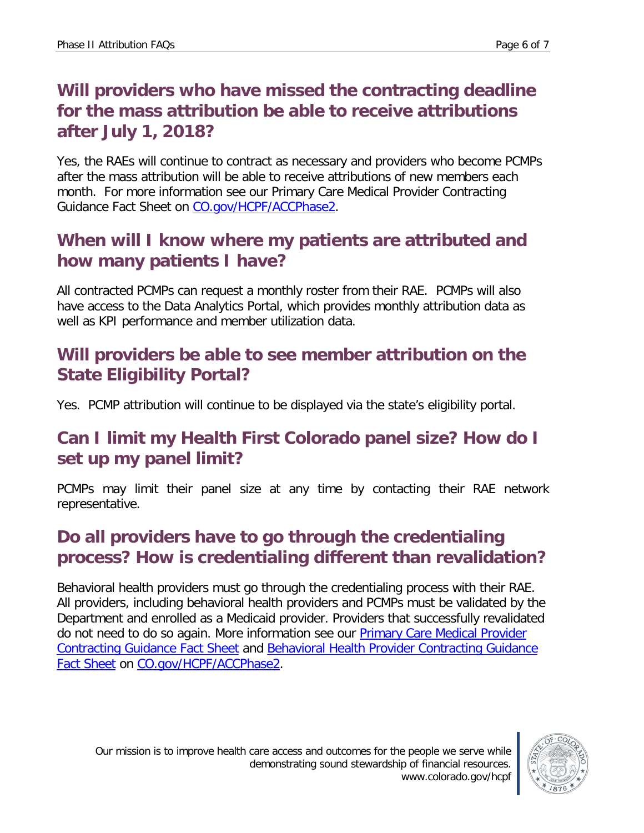## **Will providers who have missed the contracting deadline for the mass attribution be able to receive attributions after July 1, 2018?**

Yes, the RAEs will continue to contract as necessary and providers who become PCMPs after the mass attribution will be able to receive attributions of new members each month. For more information see our [Primary Care Medical Provider Contracting](https://www.colorado.gov/pacific/sites/default/files/Primary%20Care%20Medical%20Provider%20Contracting%20Guidance%20Fact%20Sheet%20March%202018.pdf)  [Guidance Fact Sheet](https://www.colorado.gov/pacific/sites/default/files/Primary%20Care%20Medical%20Provider%20Contracting%20Guidance%20Fact%20Sheet%20March%202018.pdf) on [CO.gov/HCPF/ACCPhase2.](http://www.co.gov/hcpf/accphase2)

#### **When will I know where my patients are attributed and how many patients I have?**

All contracted PCMPs can request a monthly roster from their RAE. PCMPs will also have access to the Data Analytics Portal, which provides monthly attribution data as well as KPI performance and member utilization data.

## **Will providers be able to see member attribution on the State Eligibility Portal?**

Yes. PCMP attribution will continue to be displayed via the state's eligibility portal.

## **Can I limit my Health First Colorado panel size? How do I set up my panel limit?**

PCMPs may limit their panel size at any time by contacting their RAE network representative.

# **Do all providers have to go through the credentialing process? How is credentialing different than revalidation?**

Behavioral health providers must go through the credentialing process with their RAE. All providers, including behavioral health providers and PCMPs must be validated by the Department and enrolled as a Medicaid provider. Providers that successfully revalidated do not need to do so again. More information see our **Primary Care Medical Provider** [Contracting Guidance Fact Sheet](https://www.colorado.gov/pacific/sites/default/files/PCMP%20Provider%20Contracting%20Fact%20Sheet%20March%2023%202018.pdf) and [Behavioral Health Provider Contracting Guidance](https://www.colorado.gov/pacific/sites/default/files/Behavioral%20Health%20Provider%20Contracting%20Guidance%20Fact%20Sheet%20March%202018.pdf)  [Fact Sheet](https://www.colorado.gov/pacific/sites/default/files/Behavioral%20Health%20Provider%20Contracting%20Guidance%20Fact%20Sheet%20March%202018.pdf) on [CO.gov/HCPF/ACCPhase2.](http://www.co.gov/hcpf/accphase2)